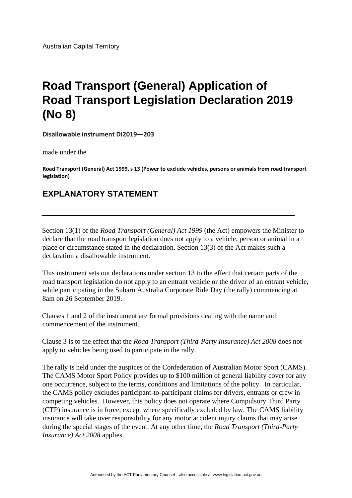## **Road Transport (General) Application of Road Transport Legislation Declaration 2019 (No 8)**

**Disallowable instrument DI2019—203**

made under the

**Road Transport (General) Act 1999, s 13 (Power to exclude vehicles, persons or animals from road transport legislation)** 

## **EXPLANATORY STATEMENT**

Section 13(1) of the *Road Transport (General) Act 1999* (the Act) empowers the Minister to declare that the road transport legislation does not apply to a vehicle, person or animal in a place or circumstance stated in the declaration. Section 13(3) of the Act makes such a declaration a disallowable instrument.

This instrument sets out declarations under section 13 to the effect that certain parts of the road transport legislation do not apply to an entrant vehicle or the driver of an entrant vehicle, while participating in the Subaru Australia Corporate Ride Day (the rally) commencing at 8am on 26 September 2019.

Clauses 1 and 2 of the instrument are formal provisions dealing with the name and commencement of the instrument.

Clause 3 is to the effect that the *Road Transport (Third-Party Insurance) Act 2008* does not apply to vehicles being used to participate in the rally.

The rally is held under the auspices of the Confederation of Australian Motor Sport (CAMS). The CAMS Motor Sport Policy provides up to \$100 million of general liability cover for any one occurrence, subject to the terms, conditions and limitations of the policy. In particular, the CAMS policy excludes participant-to-participant claims for drivers, entrants or crew in competing vehicles. However, this policy does not operate where Compulsory Third Party (CTP) insurance is in force, except where specifically excluded by law. The CAMS liability insurance will take over responsibility for any motor accident injury claims that may arise during the special stages of the event. At any other time, the *Road Transport (Third-Party Insurance) Act 2008* applies.